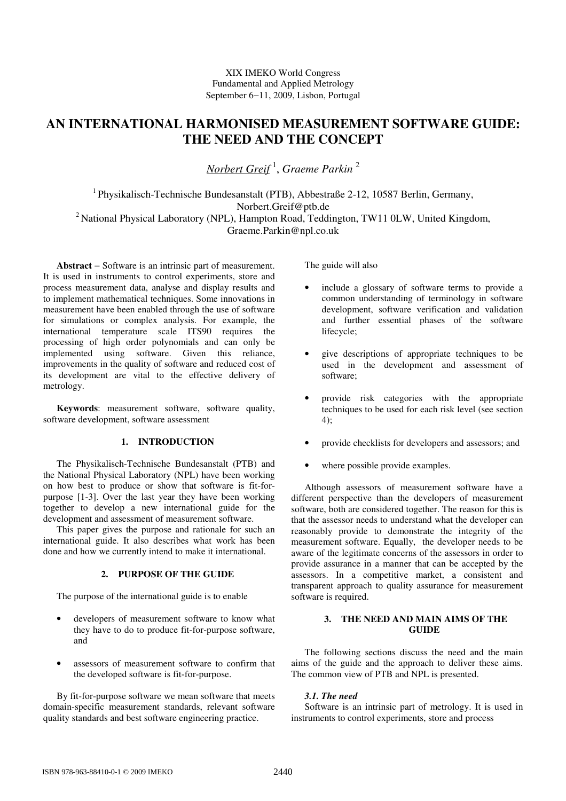# **AN INTERNATIONAL HARMONISED MEASUREMENT SOFTWARE GUIDE: THE NEED AND THE CONCEPT**

*Norbert Greif* 1 , *Graeme Parkin* 2

<sup>1</sup> Physikalisch-Technische Bundesanstalt (PTB), Abbestraße 2-12, 10587 Berlin, Germany, Norbert.Greif@ptb.de <sup>2</sup> National Physical Laboratory (NPL), Hampton Road, Teddington, TW11 0LW, United Kingdom,

Graeme.Parkin@npl.co.uk

**Abstract** − Software is an intrinsic part of measurement. It is used in instruments to control experiments, store and process measurement data, analyse and display results and to implement mathematical techniques. Some innovations in measurement have been enabled through the use of software for simulations or complex analysis. For example, the international temperature scale ITS90 requires the processing of high order polynomials and can only be implemented using software. Given this reliance, improvements in the quality of software and reduced cost of its development are vital to the effective delivery of metrology.

**Keywords**: measurement software, software quality, software development, software assessment

# **1. INTRODUCTION**

The Physikalisch-Technische Bundesanstalt (PTB) and the National Physical Laboratory (NPL) have been working on how best to produce or show that software is fit-forpurpose [1-3]. Over the last year they have been working together to develop a new international guide for the development and assessment of measurement software.

This paper gives the purpose and rationale for such an international guide. It also describes what work has been done and how we currently intend to make it international.

# **2. PURPOSE OF THE GUIDE**

The purpose of the international guide is to enable

- developers of measurement software to know what they have to do to produce fit-for-purpose software, and
- assessors of measurement software to confirm that the developed software is fit-for-purpose.

By fit-for-purpose software we mean software that meets domain-specific measurement standards, relevant software quality standards and best software engineering practice.

The guide will also

- include a glossary of software terms to provide a common understanding of terminology in software development, software verification and validation and further essential phases of the software lifecycle;
- give descriptions of appropriate techniques to be used in the development and assessment of software;
- provide risk categories with the appropriate techniques to be used for each risk level (see section 4);
- provide checklists for developers and assessors; and
- where possible provide examples.

Although assessors of measurement software have a different perspective than the developers of measurement software, both are considered together. The reason for this is that the assessor needs to understand what the developer can reasonably provide to demonstrate the integrity of the measurement software. Equally, the developer needs to be aware of the legitimate concerns of the assessors in order to provide assurance in a manner that can be accepted by the assessors. In a competitive market, a consistent and transparent approach to quality assurance for measurement software is required.

### **3. THE NEED AND MAIN AIMS OF THE GUIDE**

The following sections discuss the need and the main aims of the guide and the approach to deliver these aims. The common view of PTB and NPL is presented.

# *3.1. The need*

Software is an intrinsic part of metrology. It is used in instruments to control experiments, store and process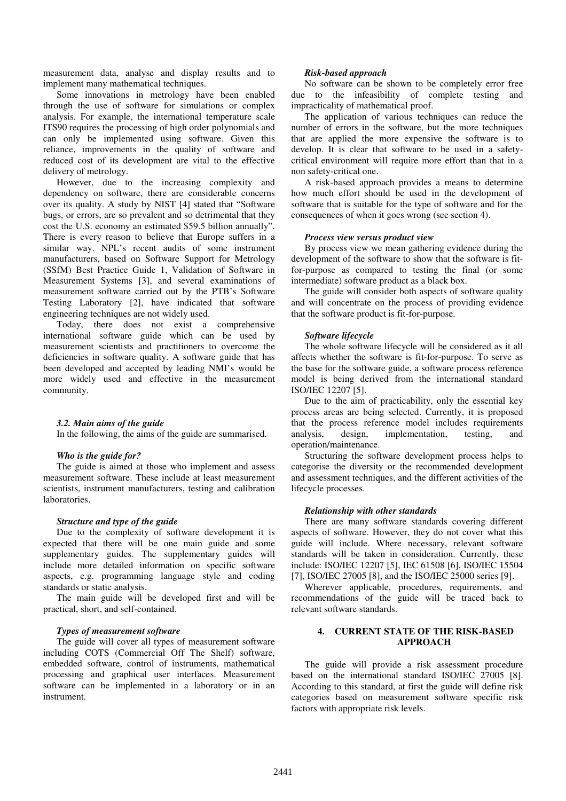measurement data, analyse and display results and to implement many mathematical techniques.

Some innovations in metrology have been enabled through the use of software for simulations or complex analysis. For example, the international temperature scale ITS90 requires the processing of high order polynomials and can only be implemented using software. Given this reliance, improvements in the quality of software and reduced cost of its development are vital to the effective delivery of metrology.

However, due to the increasing complexity and dependency on software, there are considerable concerns over its quality. A study by NIST [4] stated that "Software bugs, or errors, are so prevalent and so detrimental that they cost the U.S. economy an estimated \$59.5 billion annually". There is every reason to believe that Europe suffers in a similar way. NPL's recent audits of some instrument manufacturers, based on Software Support for Metrology (SSfM) Best Practice Guide 1, Validation of Software in Measurement Systems [3], and several examinations of measurement software carried out by the PTB's Software Testing Laboratory [2], have indicated that software engineering techniques are not widely used.

Today, there does not exist a comprehensive international software guide which can be used by measurement scientists and practitioners to overcome the deficiencies in software quality. A software guide that has been developed and accepted by leading NMI's would be more widely used and effective in the measurement community.

#### *3.2. Main aims of the guide*

In the following, the aims of the guide are summarised.

#### *Who is the guide for?*

The guide is aimed at those who implement and assess measurement software. These include at least measurement scientists, instrument manufacturers, testing and calibration laboratories.

#### *Structure and type of the guide*

Due to the complexity of software development it is expected that there will be one main guide and some supplementary guides. The supplementary guides will include more detailed information on specific software aspects, e.g. programming language style and coding standards or static analysis.

The main guide will be developed first and will be practical, short, and self-contained.

#### *Types of measurement software*

The guide will cover all types of measurement software including COTS (Commercial Off The Shelf) software, embedded software, control of instruments, mathematical processing and graphical user interfaces. Measurement software can be implemented in a laboratory or in an instrument.

#### *Risk-based approach*

No software can be shown to be completely error free due to the infeasibility of complete testing and impracticality of mathematical proof.

The application of various techniques can reduce the number of errors in the software, but the more techniques that are applied the more expensive the software is to develop. It is clear that software to be used in a safetycritical environment will require more effort than that in a non safety-critical one.

A risk-based approach provides a means to determine how much effort should be used in the development of software that is suitable for the type of software and for the consequences of when it goes wrong (see section 4).

#### *Process view versus product view*

By process view we mean gathering evidence during the development of the software to show that the software is fitfor-purpose as compared to testing the final (or some intermediate) software product as a black box.

The guide will consider both aspects of software quality and will concentrate on the process of providing evidence that the software product is fit-for-purpose.

#### *Software lifecycle*

The whole software lifecycle will be considered as it all affects whether the software is fit-for-purpose. To serve as the base for the software guide, a software process reference model is being derived from the international standard ISO/IEC 12207 [5].

Due to the aim of practicability, only the essential key process areas are being selected. Currently, it is proposed that the process reference model includes requirements analysis, design, implementation, testing, and operation/maintenance.

Structuring the software development process helps to categorise the diversity or the recommended development and assessment techniques, and the different activities of the lifecycle processes.

#### *Relationship with other standards*

There are many software standards covering different aspects of software. However, they do not cover what this guide will include. Where necessary, relevant software standards will be taken in consideration. Currently, these include: ISO/IEC 12207 [5], IEC 61508 [6], ISO/IEC 15504 [7], ISO/IEC 27005 [8], and the ISO/IEC 25000 series [9].

Wherever applicable, procedures, requirements, and recommendations of the guide will be traced back to relevant software standards.

# **4. CURRENT STATE OF THE RISK-BASED APPROACH**

The guide will provide a risk assessment procedure based on the international standard ISO/IEC 27005 [8]. According to this standard, at first the guide will define risk categories based on measurement software specific risk factors with appropriate risk levels.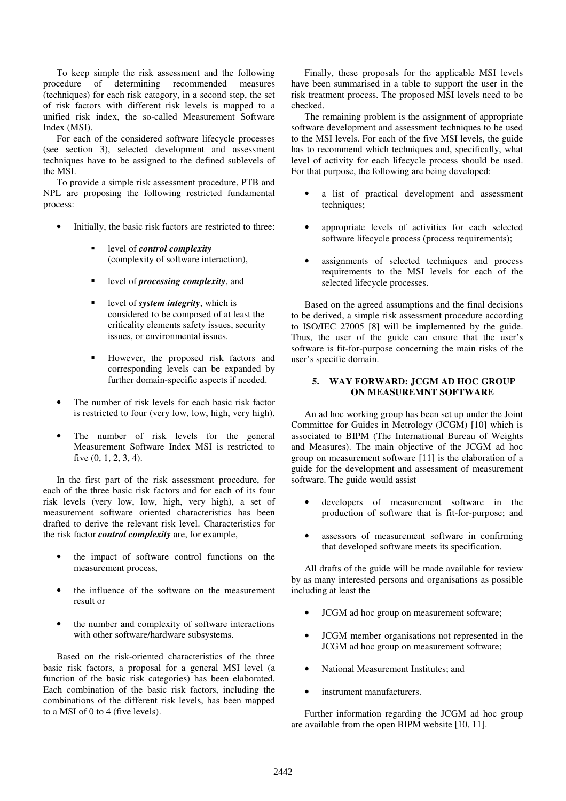To keep simple the risk assessment and the following procedure of determining recommended measures (techniques) for each risk category, in a second step, the set of risk factors with different risk levels is mapped to a unified risk index, the so-called Measurement Software Index (MSI).

For each of the considered software lifecycle processes (see section 3), selected development and assessment techniques have to be assigned to the defined sublevels of the MSI.

To provide a simple risk assessment procedure, PTB and NPL are proposing the following restricted fundamental process:

- Initially, the basic risk factors are restricted to three:
	- level of *control complexity* (complexity of software interaction),
	- level of *processing complexity*, and
	- level of *system integrity*, which is considered to be composed of at least the criticality elements safety issues, security issues, or environmental issues.
	- However, the proposed risk factors and corresponding levels can be expanded by further domain-specific aspects if needed.
- The number of risk levels for each basic risk factor is restricted to four (very low, low, high, very high).
- The number of risk levels for the general Measurement Software Index MSI is restricted to five (0, 1, 2, 3, 4).

In the first part of the risk assessment procedure, for each of the three basic risk factors and for each of its four risk levels (very low, low, high, very high), a set of measurement software oriented characteristics has been drafted to derive the relevant risk level. Characteristics for the risk factor *control complexity* are, for example,

- the impact of software control functions on the measurement process,
- the influence of the software on the measurement result or
- the number and complexity of software interactions with other software/hardware subsystems.

Based on the risk-oriented characteristics of the three basic risk factors, a proposal for a general MSI level (a function of the basic risk categories) has been elaborated. Each combination of the basic risk factors, including the combinations of the different risk levels, has been mapped to a MSI of 0 to 4 (five levels).

Finally, these proposals for the applicable MSI levels have been summarised in a table to support the user in the risk treatment process. The proposed MSI levels need to be checked.

The remaining problem is the assignment of appropriate software development and assessment techniques to be used to the MSI levels. For each of the five MSI levels, the guide has to recommend which techniques and, specifically, what level of activity for each lifecycle process should be used. For that purpose, the following are being developed:

- a list of practical development and assessment techniques;
- appropriate levels of activities for each selected software lifecycle process (process requirements);
- assignments of selected techniques and process requirements to the MSI levels for each of the selected lifecycle processes.

Based on the agreed assumptions and the final decisions to be derived, a simple risk assessment procedure according to ISO/IEC 27005 [8] will be implemented by the guide. Thus, the user of the guide can ensure that the user's software is fit-for-purpose concerning the main risks of the user's specific domain.

# **5. WAY FORWARD: JCGM AD HOC GROUP ON MEASUREMNT SOFTWARE**

An ad hoc working group has been set up under the Joint Committee for Guides in Metrology (JCGM) [10] which is associated to BIPM (The International Bureau of Weights and Measures). The main objective of the JCGM ad hoc group on measurement software [11] is the elaboration of a guide for the development and assessment of measurement software. The guide would assist

- developers of measurement software in the production of software that is fit-for-purpose; and
- assessors of measurement software in confirming that developed software meets its specification.

All drafts of the guide will be made available for review by as many interested persons and organisations as possible including at least the

- JCGM ad hoc group on measurement software;
- JCGM member organisations not represented in the JCGM ad hoc group on measurement software;
- National Measurement Institutes; and
- instrument manufacturers.

Further information regarding the JCGM ad hoc group are available from the open BIPM website [10, 11].